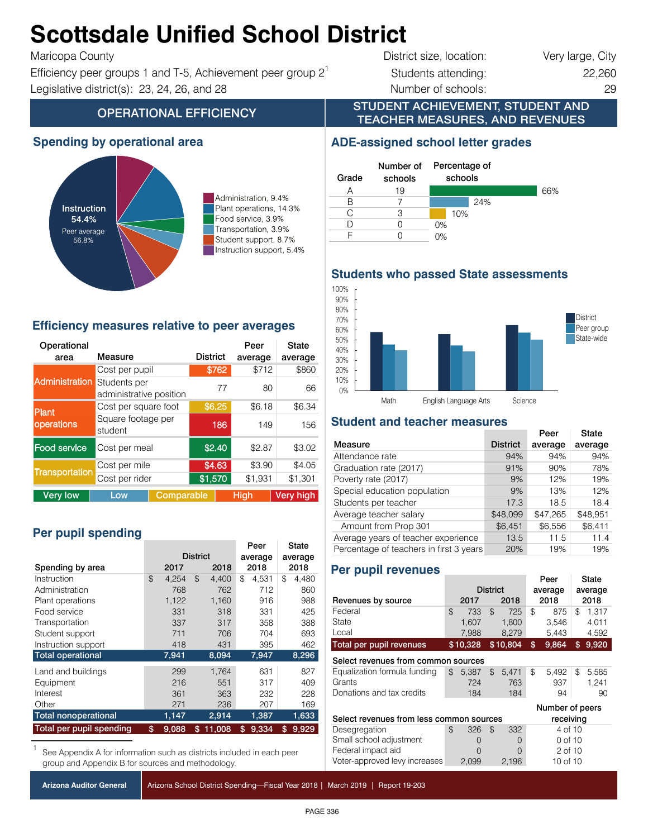#### Administration 9.4% 9.4% Administration, 9.4% **Scottsdale Unified School District**

#### $\mathbf{F}$  $T$ anc $Q$ pa Godin $y$

Efficiency peer groups 1 and T-5, Achievement peer group  $2^1$  Students attending: 22,260 Instruction support 5.4% 5.4% Instruction support, 5.4% Legislative district(s): 23, 24, 26, and 28 Number of schools: 29

# District size, location: Very large, City

STUDENT ACHIEVEMENT, STUDENT AND TEACHER MEASURES, AND REVENUES

## **OPERATIONAL EFFICIENCY**

### **Spending by operational area**



Administration, 9.4% Plant operations, 14.3% Food service, 3.9% Transportation, 3.9% Student support, 8.7% Instruction support, 5.4%

#### **Efficiency measures relative to peer averages**

| Operational<br>area           | Measure                                 |            | <b>District</b> |         | Peer<br>average | State<br>average |  |  |
|-------------------------------|-----------------------------------------|------------|-----------------|---------|-----------------|------------------|--|--|
|                               | Cost per pupil                          |            |                 | \$762   | \$712           | \$860            |  |  |
| Administration                | Students per<br>administrative position |            |                 | 77      | 80              | 66               |  |  |
| Cost per square foot<br>Plant |                                         |            |                 | \$6.25  | \$6.18          | \$6.34           |  |  |
| operations                    | Square footage per<br>student           | 186<br>149 |                 |         | 156             |                  |  |  |
| Food service                  | Cost per meal                           |            | \$2.40          | \$2.87  | \$3.02          |                  |  |  |
|                               | Cost per mile                           | \$4.63     |                 | \$3.90  | \$4.05          |                  |  |  |
| <b>Transportation</b>         | Cost per rider                          | \$1,570    |                 | \$1,931 | \$1,301         |                  |  |  |
| <b>Very low</b>               | Low                                     | Comparable |                 |         | <b>High</b>     | <b>Very high</b> |  |  |

## Per pupil spending

|                             |                 |       |      | Peer    |    | State   |    |       |
|-----------------------------|-----------------|-------|------|---------|----|---------|----|-------|
|                             | <b>District</b> |       |      | average |    | average |    |       |
| Spending by area            | 2017            |       | 2018 | 2018    |    | 2018    |    |       |
| Instruction                 | \$              | 4.254 | \$   | 4.400   | \$ | 4.531   | \$ | 4,480 |
| Administration              |                 | 768   |      | 762     |    | 712     |    | 860   |
| Plant operations            |                 | 1,122 |      | 1,160   |    | 916     |    | 988   |
| Food service                |                 | 331   |      | 318     |    | 331     |    | 425   |
| Transportation              |                 | 337   |      | 317     |    | 358     |    | 388   |
| Student support             |                 | 711   |      | 706     |    | 704     |    | 693   |
| Instruction support         |                 | 418   |      | 431     |    | 395     |    | 462   |
| <b>Total operational</b>    |                 | 7,941 |      | 8,094   |    | 7,947   |    | 8,296 |
| Land and buildings          |                 | 299   |      | 1.764   |    | 631     |    | 827   |
| Equipment                   |                 | 216   |      | 551     |    | 317     |    | 409   |
| Interest                    |                 | 361   |      | 363     |    | 232     |    | 228   |
| Other                       |                 | 271   |      | 236     |    | 207     |    | 169   |
| <b>Total nonoperational</b> |                 | 1,147 |      | 2,914   |    | 1,387   |    | 1,633 |
| Total per pupil spending    | \$              | 9,088 | \$   | 11,008  | \$ | 9,334   | \$ | 9,929 |

See Appendix A for information such as districts included in each peer group and Appendix B for sources and methodology.

#### **ADE-assigned school letter grades**



**Students who passed State assessments**



## **Student and teacher measures**

|                                         |                 | Peer     | State    |
|-----------------------------------------|-----------------|----------|----------|
| Measure                                 | <b>District</b> | average  | average  |
| Attendance rate                         | 94%             | 94%      | 94%      |
| Graduation rate (2017)                  | 91%             | 90%      | 78%      |
| Poverty rate (2017)                     | 9%              | 12%      | 19%      |
| Special education population            | 9%              | 13%      | 12%      |
| Students per teacher                    | 17.3            | 18.5     | 18.4     |
| Average teacher salary                  | \$48,099        | \$47,265 | \$48,951 |
| Amount from Prop 301                    | \$6,451         | \$6,556  | \$6,411  |
| Average years of teacher experience     | 13.5            | 11.5     | 11.4     |
| Percentage of teachers in first 3 years | 20%             | 19%      | 19%      |

#### **Per pupil revenues**

**Do not make changes to chart**

|                                                       |    |                 |                | Peer     |                 | State    |         |       |
|-------------------------------------------------------|----|-----------------|----------------|----------|-----------------|----------|---------|-------|
|                                                       |    | <b>District</b> |                |          | average         |          | average |       |
| Revenues by source                                    |    | 2017            |                | 2018     |                 | 2018     |         | 2018  |
| Federal                                               | \$ | 733             | $\mathfrak{L}$ | 725      | \$              | 875      | \$      | 1.317 |
| State                                                 |    | 1.607           |                | 1,800    |                 | 3.546    |         | 4.011 |
| Local                                                 |    | 7,988           |                | 8,279    |                 | 5,443    |         | 4,592 |
| Total per pupil revenues                              |    | \$10,328        |                | \$10,804 | \$              | 9.864    | \$      | 9,920 |
| Select revenues from common sources                   |    |                 |                |          |                 |          |         |       |
| Equalization formula funding                          | \$ | 5.387           | \$             | 5.471    | \$              | 5.492    | \$      | 5,585 |
| Grants                                                |    | 724             |                | 763      |                 | 937      |         | 1,241 |
| Donations and tax credits                             |    | 184             |                | 184      |                 | 94       |         | 90    |
|                                                       |    |                 |                |          | Number of peers |          |         |       |
| Select revenues from less common sources<br>receiving |    |                 |                |          |                 |          |         |       |
| Desegregation                                         | \$ | 326             | $\mathfrak{L}$ | 332      |                 | 4 of 10  |         |       |
| Small school adjustment                               |    | $\Omega$        |                | $\Omega$ |                 | 0 of 10  |         |       |
| Federal impact aid                                    |    | ∩               |                | $\Omega$ |                 | 2 of 10  |         |       |
| Voter-approved levy increases                         |    | 2,099           |                | 2,196    |                 | 10 of 10 |         |       |

 $R$ emoved spaces at blue 'Total revenues per pupil' (not indented) (not indented) (not indented) (not indented)

Arizona School District Spending—Fiscal Year 2018 | March 2019 | Report 19-203